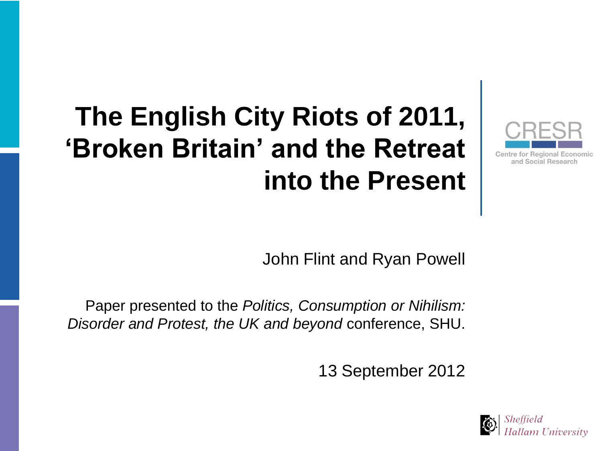#### **The English City Riots of 2011, "Broken Britain" and the Retreat into the Present**

John Flint and Ryan Powell

Paper presented to the *Politics, Consumption or Nihilism: Disorder and Protest, the UK and beyond* conference, SHU.

13 September 2012



and Social Research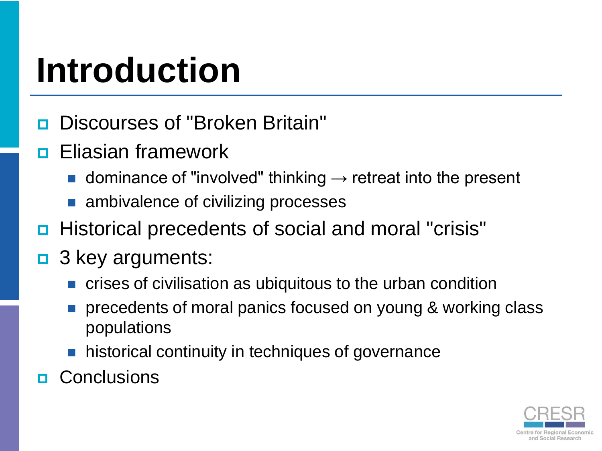## **Introduction**

- **Discourses of "Broken Britain"**
- **<u>n</u>** Eliasian framework
	- dominance of "involved" thinking  $\rightarrow$  retreat into the present
	- ambivalence of civilizing processes
- Historical precedents of social and moral "crisis"
- $\Box$  3 key arguments:
	- crises of civilisation as ubiquitous to the urban condition
	- precedents of moral panics focused on young & working class populations
	- **historical continuity in techniques of governance**
- **D** Conclusions

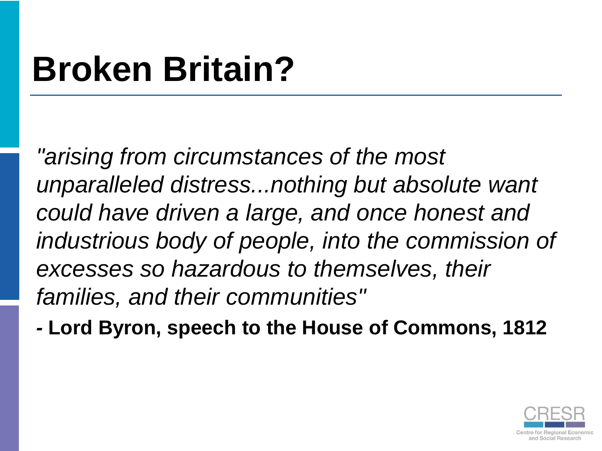# **Broken Britain?**

*"arising from circumstances of the most unparalleled distress...nothing but absolute want could have driven a large, and once honest and industrious body of people, into the commission of excesses so hazardous to themselves, their families, and their communities"*

*-* **Lord Byron, speech to the House of Commons, 1812** 

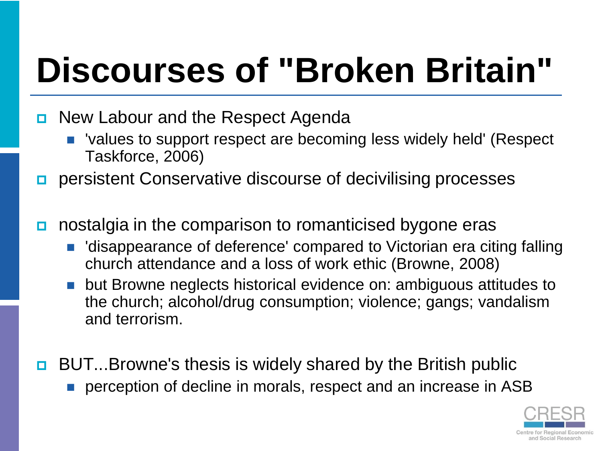# **Discourses of "Broken Britain"**

- **D** New Labour and the Respect Agenda
	- 'values to support respect are becoming less widely held' (Respect Taskforce, 2006)
- **p** persistent Conservative discourse of decivilising processes
- nostalgia in the comparison to romanticised bygone eras
	- 'disappearance of deference' compared to Victorian era citing falling church attendance and a loss of work ethic (Browne, 2008)
	- but Browne neglects historical evidence on: ambiguous attitudes to the church; alcohol/drug consumption; violence; gangs; vandalism and terrorism.
- **BUT...Browne's thesis is widely shared by the British public** perception of decline in morals, respect and an increase in ASB

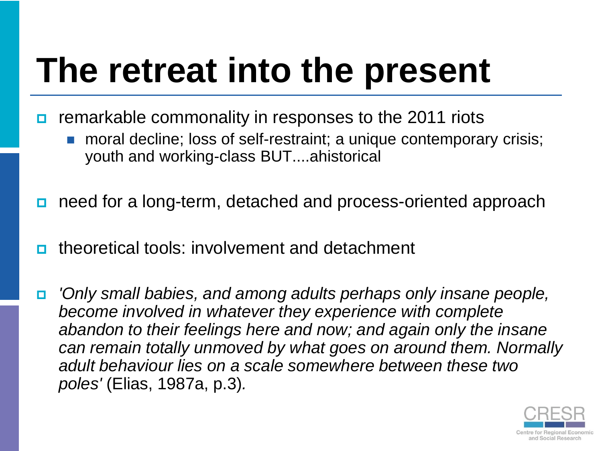## **The retreat into the present**

- remarkable commonality in responses to the 2011 riots
	- moral decline; loss of self-restraint; a unique contemporary crisis; youth and working-class BUT....ahistorical
- need for a long-term, detached and process-oriented approach
- theoretical tools: involvement and detachment
- *'Only small babies, and among adults perhaps only insane people, become involved in whatever they experience with complete abandon to their feelings here and now; and again only the insane can remain totally unmoved by what goes on around them. Normally adult behaviour lies on a scale somewhere between these two poles'* (Elias, 1987a, p.3)*.*

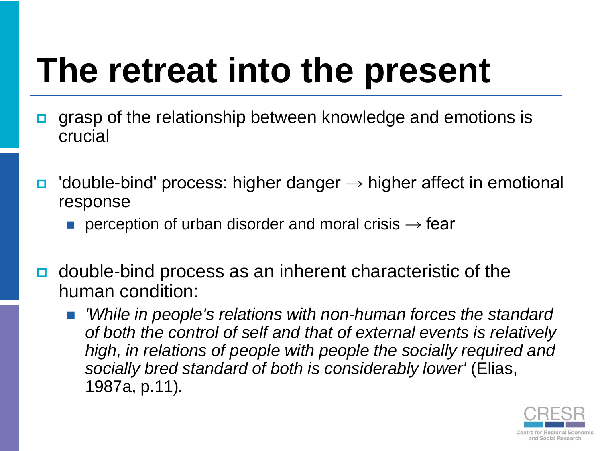## **The retreat into the present**

- grasp of the relationship between knowledge and emotions is crucial
- $\Box$  'double-bind' process: higher danger  $\rightarrow$  higher affect in emotional response
	- **perception of urban disorder and moral crisis**  $\rightarrow$  **fear**
- double-bind process as an inherent characteristic of the human condition:
	- *'While in people's relations with non-human forces the standard of both the control of self and that of external events is relatively high, in relations of people with people the socially required and socially bred standard of both is considerably lower'* (Elias, 1987a, p.11)*.*

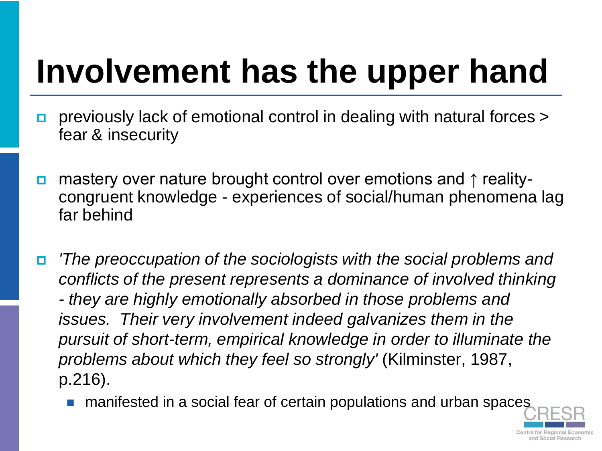# **Involvement has the upper hand**

- previously lack of emotional control in dealing with natural forces > fear & insecurity
- mastery over nature brought control over emotions and ↑ realitycongruent knowledge - experiences of social/human phenomena lag far behind
- *'The preoccupation of the sociologists with the social problems and conflicts of the present represents a dominance of involved thinking - they are highly emotionally absorbed in those problems and issues. Their very involvement indeed galvanizes them in the pursuit of short-term, empirical knowledge in order to illuminate the problems about which they feel so strongly'* (Kilminster, 1987, p.216).
	- manifested in a social fear of certain populations and urban spaces

and Social Researc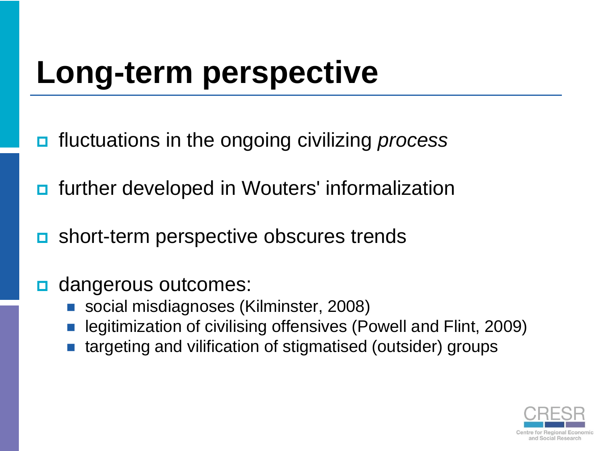### **Long-term perspective**

- fluctuations in the ongoing civilizing *process*
- **n** further developed in Wouters' informalization
- **<u>n</u>** short-term perspective obscures trends
- dangerous outcomes:
	- social misdiagnoses (Kilminster, 2008)
	- legitimization of civilising offensives (Powell and Flint, 2009)
	- targeting and vilification of stigmatised (outsider) groups

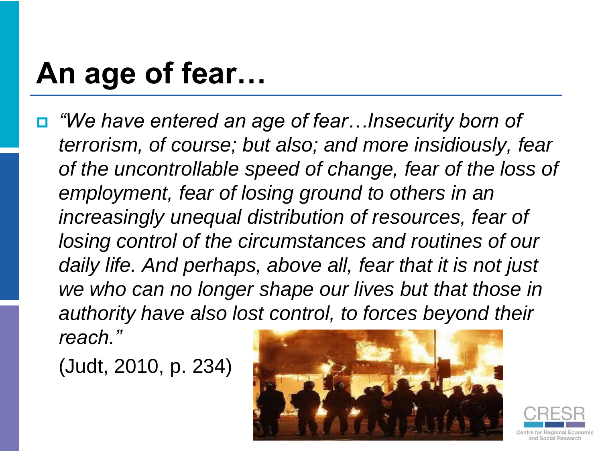#### **An age of fear…**

 *"We have entered an age of fear…Insecurity born of terrorism, of course; but also; and more insidiously, fear of the uncontrollable speed of change, fear of the loss of employment, fear of losing ground to others in an increasingly unequal distribution of resources, fear of losing control of the circumstances and routines of our daily life. And perhaps, above all, fear that it is not just we who can no longer shape our lives but that those in authority have also lost control, to forces beyond their reach."*

(Judt, 2010, p. 234)



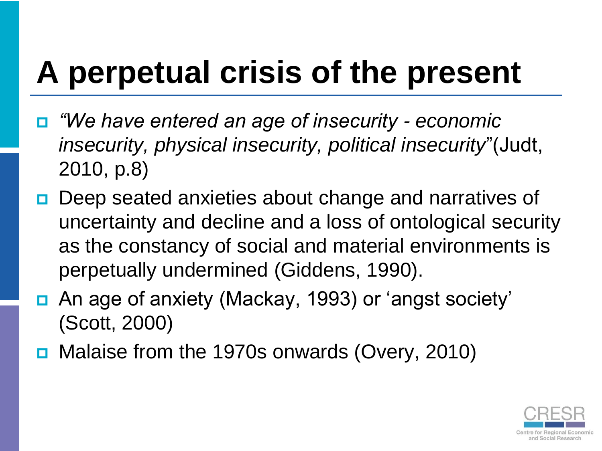## **A perpetual crisis of the present**

- *"We have entered an age of insecurity - economic insecurity, physical insecurity, political insecurity*"(Judt, 2010, p.8)
- **Deep seated anxieties about change and narratives of** uncertainty and decline and a loss of ontological security as the constancy of social and material environments is perpetually undermined (Giddens, 1990).
- An age of anxiety (Mackay, 1993) or 'angst society' (Scott, 2000)
- Malaise from the 1970s onwards (Overy, 2010)

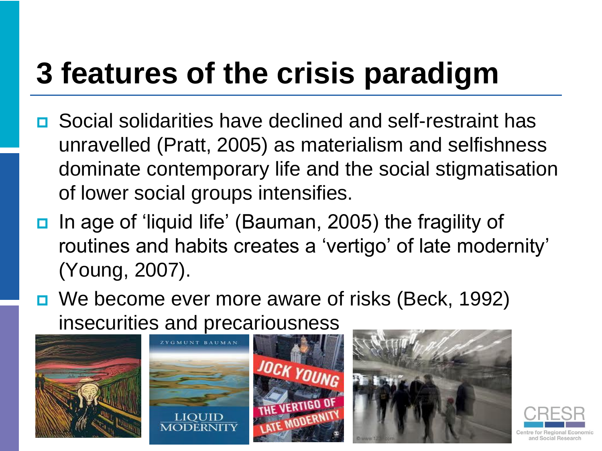### **3 features of the crisis paradigm**

- **<u>E</u>** Social solidarities have declined and self-restraint has unravelled (Pratt, 2005) as materialism and selfishness dominate contemporary life and the social stigmatisation of lower social groups intensifies.
- In age of 'liquid life' (Bauman, 2005) the fragility of routines and habits creates a 'vertigo' of late modernity' (Young, 2007).
- We become ever more aware of risks (Beck, 1992) insecurities and precariousness









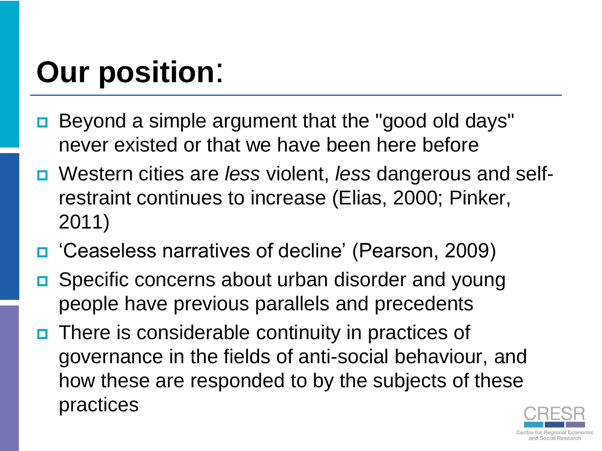### **Our position**:

- Beyond a simple argument that the "good old days" never existed or that we have been here before
- Western cities are *less* violent, *less* dangerous and selfrestraint continues to increase (Elias, 2000; Pinker, 2011)
- □ 'Ceaseless narratives of decline' (Pearson, 2009)
- **□** Specific concerns about urban disorder and young people have previous parallels and precedents
- **O** There is considerable continuity in practices of governance in the fields of anti-social behaviour, and how these are responded to by the subjects of these practices

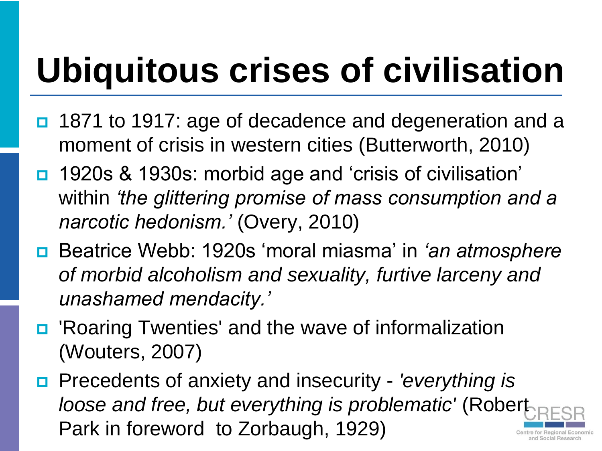# **Ubiquitous crises of civilisation**

- 1871 to 1917: age of decadence and degeneration and a moment of crisis in western cities (Butterworth, 2010)
- 1920s & 1930s: morbid age and 'crisis of civilisation' within *"the glittering promise of mass consumption and a narcotic hedonism."* (Overy, 2010)
- Beatrice Webb: 1920s "moral miasma" in *"an atmosphere of morbid alcoholism and sexuality, furtive larceny and unashamed mendacity."*
- 'Roaring Twenties' and the wave of informalization (Wouters, 2007)
- Precedents of anxiety and insecurity *'everything is loose and free, but everything is problematic'* (Robert Park in foreword to Zorbaugh, 1929)nd Social Researd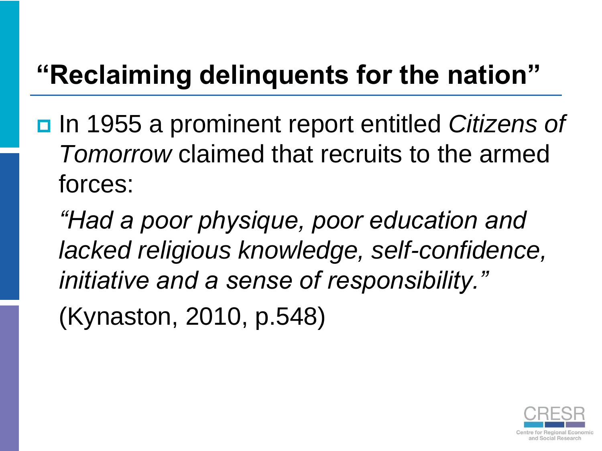#### **"Reclaiming delinquents for the nation"**

 In 1955 a prominent report entitled *Citizens of Tomorrow* claimed that recruits to the armed forces:

*"Had a poor physique, poor education and lacked religious knowledge, self-confidence, initiative and a sense of responsibility."*

(Kynaston, 2010, p.548)

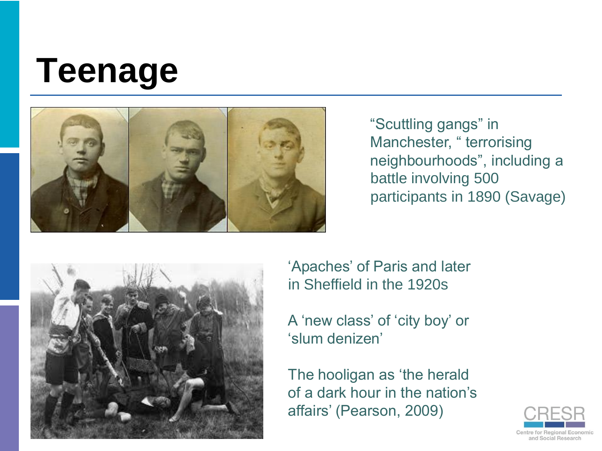## **Teenage**



"Scuttling gangs" in Manchester, " terrorising neighbourhoods", including a battle involving 500 participants in 1890 (Savage)



'Apaches' of Paris and later in Sheffield in the 1920s

A 'new class' of 'city boy' or "slum denizen"

The hooligan as 'the herald of a dark hour in the nation"s affairs" (Pearson, 2009)

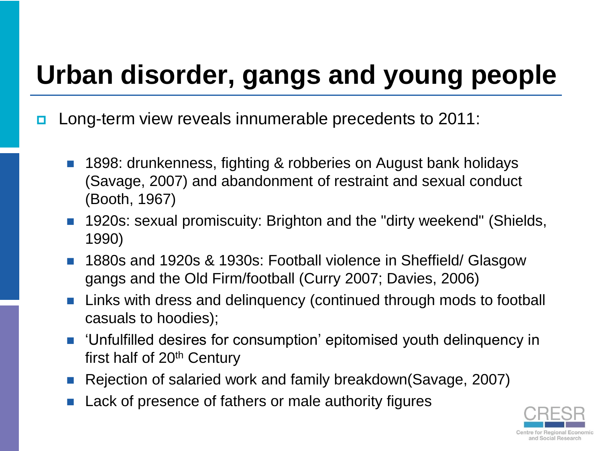#### **Urban disorder, gangs and young people**

- **□** Long-term view reveals innumerable precedents to 2011:
	- 1898: drunkenness, fighting & robberies on August bank holidays (Savage, 2007) and abandonment of restraint and sexual conduct (Booth, 1967)
	- 1920s: sexual promiscuity: Brighton and the "dirty weekend" (Shields, 1990)
	- 1880s and 1920s & 1930s: Football violence in Sheffield/ Glasgow gangs and the Old Firm/football (Curry 2007; Davies, 2006)
	- **Links with dress and delinguency (continued through mods to football** casuals to hoodies);
	- **Unfulfilled desires for consumption' epitomised youth delinquency in** first half of 20<sup>th</sup> Century
	- Rejection of salaried work and family breakdown(Savage, 2007)
	- Lack of presence of fathers or male authority figures

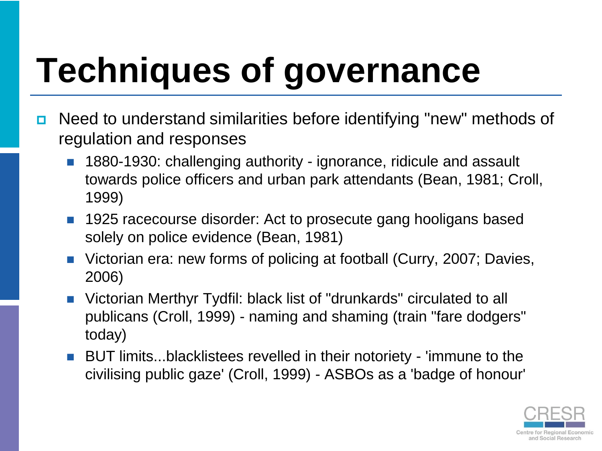# **Techniques of governance**

- **□** Need to understand similarities before identifying "new" methods of regulation and responses
	- **1880-1930: challenging authority ignorance, ridicule and assault** towards police officers and urban park attendants (Bean, 1981; Croll, 1999)
	- 1925 racecourse disorder: Act to prosecute gang hooligans based solely on police evidence (Bean, 1981)
	- Victorian era: new forms of policing at football (Curry, 2007; Davies, 2006)
	- Victorian Merthyr Tydfil: black list of "drunkards" circulated to all publicans (Croll, 1999) - naming and shaming (train "fare dodgers" today)
	- BUT limits...blacklistees revelled in their notoriety 'immune to the civilising public gaze' (Croll, 1999) - ASBOs as a 'badge of honour'